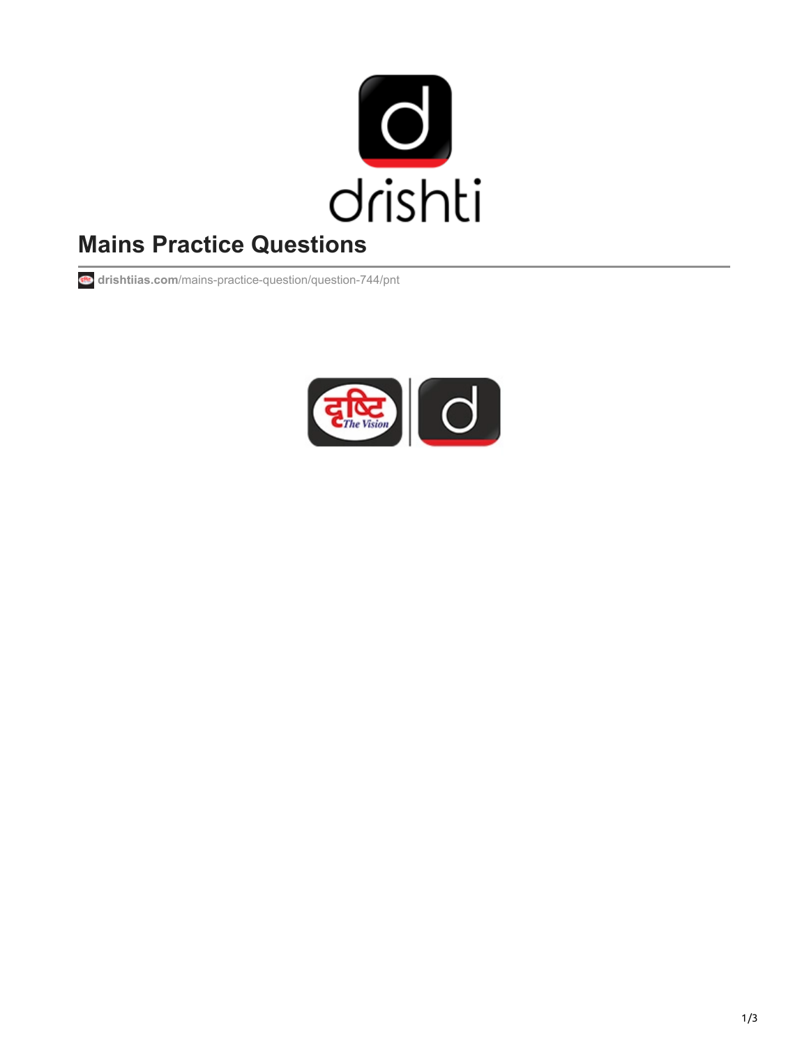

## **Mains Practice Questions**

**drishtiias.com**[/mains-practice-question/question-744/pnt](https://www.drishtiias.com/mains-practice-question/question-744/pnt)

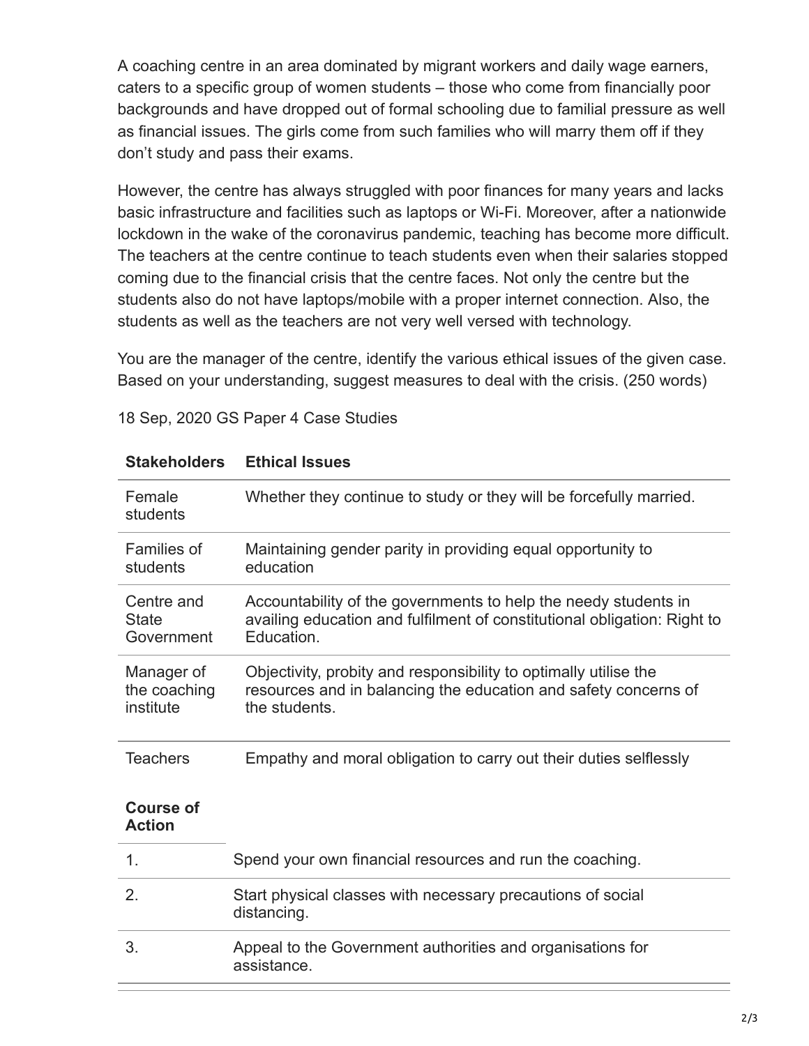A coaching centre in an area dominated by migrant workers and daily wage earners, caters to a specific group of women students – those who come from financially poor backgrounds and have dropped out of formal schooling due to familial pressure as well as financial issues. The girls come from such families who will marry them off if they don't study and pass their exams.

However, the centre has always struggled with poor finances for many years and lacks basic infrastructure and facilities such as laptops or Wi-Fi. Moreover, after a nationwide lockdown in the wake of the coronavirus pandemic, teaching has become more difficult. The teachers at the centre continue to teach students even when their salaries stopped coming due to the financial crisis that the centre faces. Not only the centre but the students also do not have laptops/mobile with a proper internet connection. Also, the students as well as the teachers are not very well versed with technology.

You are the manager of the centre, identify the various ethical issues of the given case. Based on your understanding, suggest measures to deal with the crisis. (250 words)

| <b>Stakeholders</b>                      | <b>Ethical Issues</b>                                                                                                                                     |
|------------------------------------------|-----------------------------------------------------------------------------------------------------------------------------------------------------------|
| Female<br>students                       | Whether they continue to study or they will be forcefully married.                                                                                        |
| <b>Families of</b><br>students           | Maintaining gender parity in providing equal opportunity to<br>education                                                                                  |
| Centre and<br><b>State</b><br>Government | Accountability of the governments to help the needy students in<br>availing education and fulfilment of constitutional obligation: Right to<br>Education. |
| Manager of<br>the coaching<br>institute  | Objectivity, probity and responsibility to optimally utilise the<br>resources and in balancing the education and safety concerns of<br>the students.      |
| <b>Teachers</b>                          | Empathy and moral obligation to carry out their duties selflessly                                                                                         |
| <b>Course of</b><br><b>Action</b>        |                                                                                                                                                           |
| 1.                                       | Spend your own financial resources and run the coaching.                                                                                                  |
| 2.                                       | Start physical classes with necessary precautions of social<br>distancing.                                                                                |
| 3.                                       | Appeal to the Government authorities and organisations for<br>assistance.                                                                                 |

## 18 Sep, 2020 GS Paper 4 Case Studies